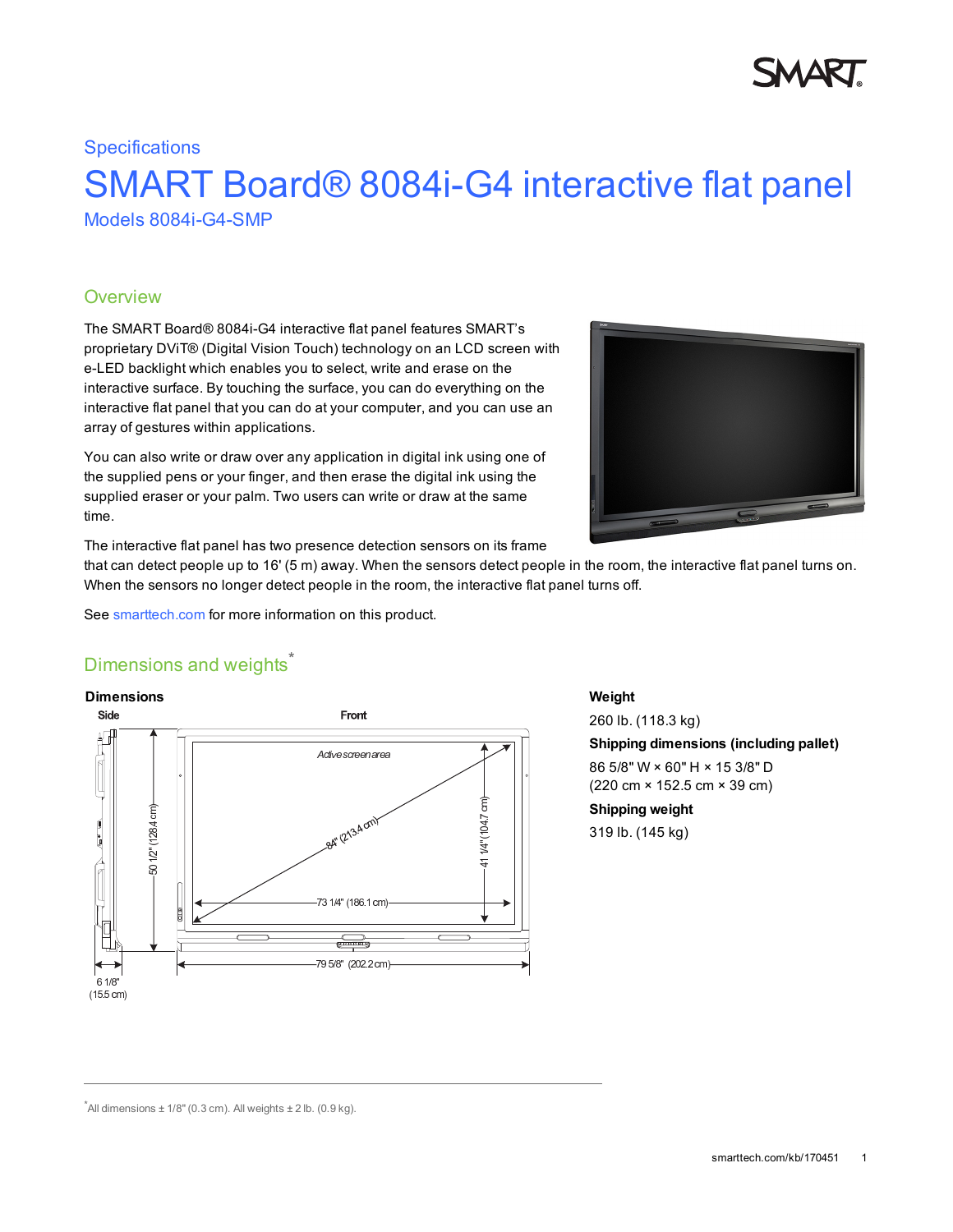# **Specifications**

# SMART Board® 8084i-G4 interactive flat panel Models 8084i-G4-SMP

# **Overview**

The SMART Board® 8084i-G4 interactive flat panel features SMART's proprietary DViT® (Digital Vision Touch) technology on an LCD screen with e-LED backlight which enables you to select, write and erase on the interactive surface. By touching the surface, you can do everything on the interactive flat panel that you can do at your computer, and you can use an array of gestures within applications.

You can also write or draw over any application in digital ink using one of the supplied pens or your finger, and then erase the digital ink using the supplied eraser or your palm. Two users can write or draw at the same time.



The interactive flat panel has two presence detection sensors on its frame

that can detect people up to 16' (5 m) away. When the sensors detect people in the room, the interactive flat panel turns on. When the sensors no longer detect people in the room, the interactive flat panel turns off.

See [smarttech.com](http://smarttech.com/Solutions/Visual+collaboration+solutions/Products/8000i+interactive+displays) for more information on this product.

# Dimensions and weights<sup>\*</sup>



**Weight**

260 lb. (118.3 kg) **Shipping dimensions (including pallet)** 86 5/8" W × 60" H × 15 3/8" D (220 cm × 152.5 cm × 39 cm) **Shipping weight** 319 lb. (145 kg)

 $^*$ All dimensions  $\pm$  1/8" (0.3 cm). All weights  $\pm$  2 lb. (0.9 kg).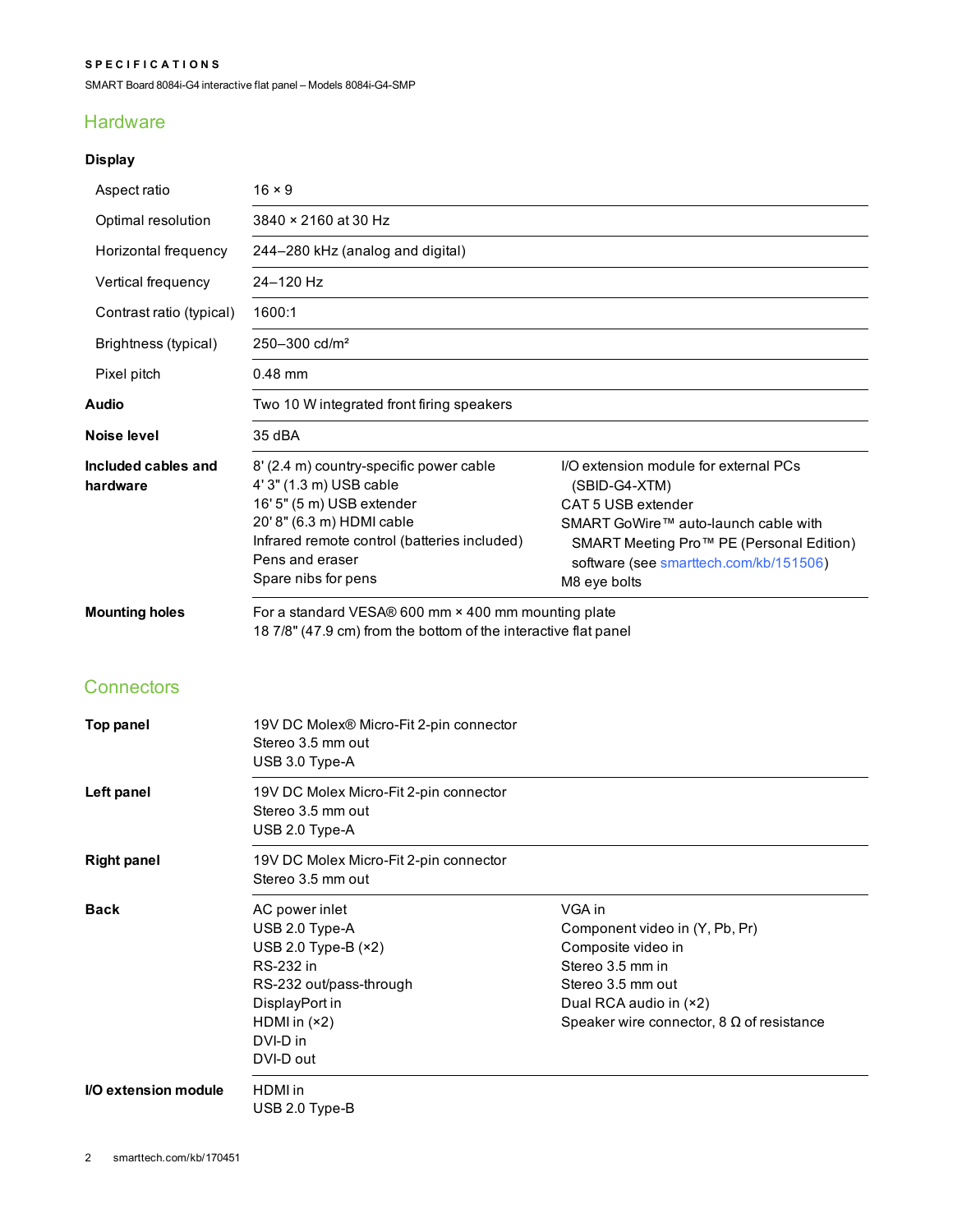#### **S P E C I F I C A T I O N S**

SMART Board 8084i-G4 interactive flat panel – Models 8084i-G4-SMP

# **Hardware**

# **Display**

| Aspect ratio                               | $16 \times 9$                                                                                                                                                                                                          |                                                                                                                                                                                                                                        |
|--------------------------------------------|------------------------------------------------------------------------------------------------------------------------------------------------------------------------------------------------------------------------|----------------------------------------------------------------------------------------------------------------------------------------------------------------------------------------------------------------------------------------|
| Optimal resolution                         | 3840 × 2160 at 30 Hz                                                                                                                                                                                                   |                                                                                                                                                                                                                                        |
| Horizontal frequency                       | 244-280 kHz (analog and digital)                                                                                                                                                                                       |                                                                                                                                                                                                                                        |
| Vertical frequency                         | 24-120 Hz                                                                                                                                                                                                              |                                                                                                                                                                                                                                        |
| Contrast ratio (typical)                   | 1600:1                                                                                                                                                                                                                 |                                                                                                                                                                                                                                        |
| Brightness (typical)                       | 250-300 cd/m <sup>2</sup>                                                                                                                                                                                              |                                                                                                                                                                                                                                        |
| Pixel pitch                                | $0.48$ mm                                                                                                                                                                                                              |                                                                                                                                                                                                                                        |
| Audio                                      | Two 10 W integrated front firing speakers                                                                                                                                                                              |                                                                                                                                                                                                                                        |
| Noise level                                | 35 dBA                                                                                                                                                                                                                 |                                                                                                                                                                                                                                        |
| Included cables and<br>hardware            | 8' (2.4 m) country-specific power cable<br>4' 3" (1.3 m) USB cable<br>16' 5" (5 m) USB extender<br>20' 8" (6.3 m) HDMI cable<br>Infrared remote control (batteries included)<br>Pens and eraser<br>Spare nibs for pens | I/O extension module for external PCs<br>(SBID-G4-XTM)<br>CAT 5 USB extender<br>SMART GoWire™ auto-launch cable with<br>SMART Meeting Pro <sup>™</sup> PE (Personal Edition)<br>software (see smarttech.com/kb/151506)<br>M8 eye bolts |
| <b>Mounting holes</b><br><b>Connectors</b> | For a standard VESA® 600 mm × 400 mm mounting plate<br>18 7/8" (47.9 cm) from the bottom of the interactive flat panel                                                                                                 |                                                                                                                                                                                                                                        |
|                                            |                                                                                                                                                                                                                        |                                                                                                                                                                                                                                        |
| <b>Top panel</b>                           | 19V DC Molex® Micro-Fit 2-pin connector<br>Stereo 3.5 mm out<br>USB 3.0 Type-A                                                                                                                                         |                                                                                                                                                                                                                                        |
| Left panel                                 | 19V DC Molex Micro-Fit 2-pin connector<br>Stereo 3.5 mm out<br>USB 2.0 Type-A                                                                                                                                          |                                                                                                                                                                                                                                        |
| <b>Right panel</b>                         | 19V DC Molex Micro-Fit 2-pin connector<br>Stereo 3.5 mm out                                                                                                                                                            |                                                                                                                                                                                                                                        |
| <b>Back</b>                                | AC power inlet<br>USB 2.0 Type-A<br>USB 2.0 Type-B (×2)<br>RS-232 in<br>RS-232 out/pass-through<br>DisplayPort in<br>HDMI in $(*2)$<br>DVI-D in<br>DVI-D out                                                           | VGA in<br>Component video in (Y, Pb, Pr)<br>Composite video in<br>Stereo 3.5 mm in<br>Stereo 3.5 mm out<br>Dual RCA audio in (×2)<br>Speaker wire connector, $8 \Omega$ of resistance                                                  |
| I/O extension module                       | HDMI in<br>USB 2.0 Type-B                                                                                                                                                                                              |                                                                                                                                                                                                                                        |